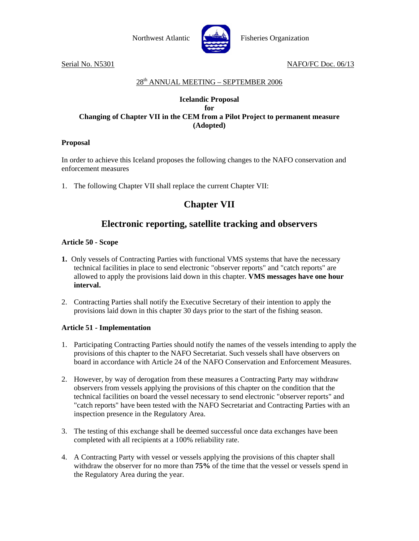

Serial No. N5301 NAFO/FC Doc. 06/13

#### 28th ANNUAL MEETING – SEPTEMBER 2006

#### **Icelandic Proposal for Changing of Chapter VII in the CEM from a Pilot Project to permanent measure (Adopted)**

#### **Proposal**

In order to achieve this Iceland proposes the following changes to the NAFO conservation and enforcement measures

1. The following Chapter VII shall replace the current Chapter VII:

# **Chapter VII**

# **Electronic reporting, satellite tracking and observers**

#### **Article 50 - Scope**

- **1.** Only vessels of Contracting Parties with functional VMS systems that have the necessary technical facilities in place to send electronic "observer reports" and "catch reports" are allowed to apply the provisions laid down in this chapter. **VMS messages have one hour interval.**
- 2. Contracting Parties shall notify the Executive Secretary of their intention to apply the provisions laid down in this chapter 30 days prior to the start of the fishing season.

#### **Article 51 - Implementation**

- 1. Participating Contracting Parties should notify the names of the vessels intending to apply the provisions of this chapter to the NAFO Secretariat. Such vessels shall have observers on board in accordance with Article 24 of the NAFO Conservation and Enforcement Measures.
- 2. However, by way of derogation from these measures a Contracting Party may withdraw observers from vessels applying the provisions of this chapter on the condition that the technical facilities on board the vessel necessary to send electronic "observer reports" and "catch reports" have been tested with the NAFO Secretariat and Contracting Parties with an inspection presence in the Regulatory Area.
- 3. The testing of this exchange shall be deemed successful once data exchanges have been completed with all recipients at a 100% reliability rate.
- 4. A Contracting Party with vessel or vessels applying the provisions of this chapter shall withdraw the observer for no more than **75%** of the time that the vessel or vessels spend in the Regulatory Area during the year.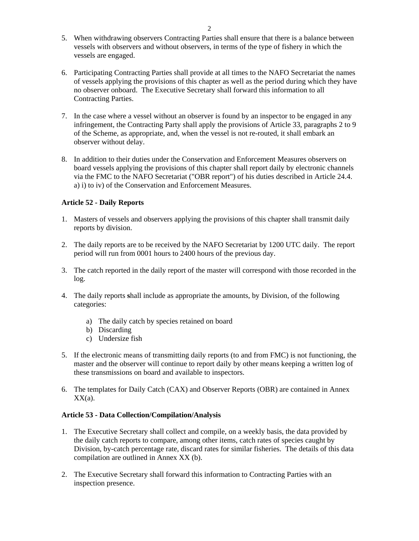- 5. When withdrawing observers Contracting Parties shall ensure that there is a balance between vessels with observers and without observers, in terms of the type of fishery in which the vessels are engaged.
- 6. Participating Contracting Parties shall provide at all times to the NAFO Secretariat the names of vessels applying the provisions of this chapter as well as the period during which they have no observer onboard. The Executive Secretary shall forward this information to all Contracting Parties.
- 7. In the case where a vessel without an observer is found by an inspector to be engaged in any infringement, the Contracting Party shall apply the provisions of Article 33, paragraphs 2 to 9 of the Scheme, as appropriate, and, when the vessel is not re-routed, it shall embark an observer without delay.
- 8. In addition to their duties under the Conservation and Enforcement Measures observers on board vessels applying the provisions of this chapter shall report daily by electronic channels via the FMC to the NAFO Secretariat ("OBR report") of his duties described in Article 24.4. a) i) to iv) of the Conservation and Enforcement Measures.

#### **Article 52 - Daily Reports**

- 1. Masters of vessels and observers applying the provisions of this chapter shall transmit daily reports by division.
- 2. The daily reports are to be received by the NAFO Secretariat by 1200 UTC daily. The report period will run from 0001 hours to 2400 hours of the previous day.
- 3. The catch reported in the daily report of the master will correspond with those recorded in the log.
- 4. The daily reports **s**hall include as appropriate the amounts, by Division, of the following categories:
	- a) The daily catch by species retained on board
	- b) Discarding
	- c) Undersize fish
- 5. If the electronic means of transmitting daily reports (to and from FMC) is not functioning, the master and the observer will continue to report daily by other means keeping a written log of these transmissions on board and available to inspectors.
- 6. The templates for Daily Catch (CAX) and Observer Reports (OBR) are contained in Annex  $XX(a)$ .

#### **Article 53 - Data Collection/Compilation/Analysis**

- 1. The Executive Secretary shall collect and compile, on a weekly basis, the data provided by the daily catch reports to compare, among other items, catch rates of species caught by Division, by-catch percentage rate, discard rates for similar fisheries. The details of this data compilation are outlined in Annex XX (b).
- 2. The Executive Secretary shall forward this information to Contracting Parties with an inspection presence.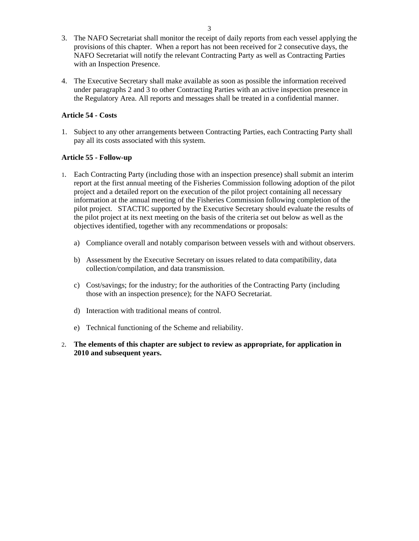- 3. The NAFO Secretariat shall monitor the receipt of daily reports from each vessel applying the provisions of this chapter. When a report has not been received for 2 consecutive days, the NAFO Secretariat will notify the relevant Contracting Party as well as Contracting Parties with an Inspection Presence.
- 4. The Executive Secretary shall make available as soon as possible the information received under paragraphs 2 and 3 to other Contracting Parties with an active inspection presence in the Regulatory Area. All reports and messages shall be treated in a confidential manner.

#### **Article 54 - Costs**

1. Subject to any other arrangements between Contracting Parties, each Contracting Party shall pay all its costs associated with this system.

#### **Article 55 - Follow-up**

- 1. Each Contracting Party (including those with an inspection presence) shall submit an interim report at the first annual meeting of the Fisheries Commission following adoption of the pilot project and a detailed report on the execution of the pilot project containing all necessary information at the annual meeting of the Fisheries Commission following completion of the pilot project. STACTIC supported by the Executive Secretary should evaluate the results of the pilot project at its next meeting on the basis of the criteria set out below as well as the objectives identified, together with any recommendations or proposals:
	- a) Compliance overall and notably comparison between vessels with and without observers.
	- b) Assessment by the Executive Secretary on issues related to data compatibility, data collection/compilation, and data transmission.
	- c) Cost/savings; for the industry; for the authorities of the Contracting Party (including those with an inspection presence); for the NAFO Secretariat.
	- d) Interaction with traditional means of control.
	- e) Technical functioning of the Scheme and reliability.
- 2. **The elements of this chapter are subject to review as appropriate, for application in 2010 and subsequent years.**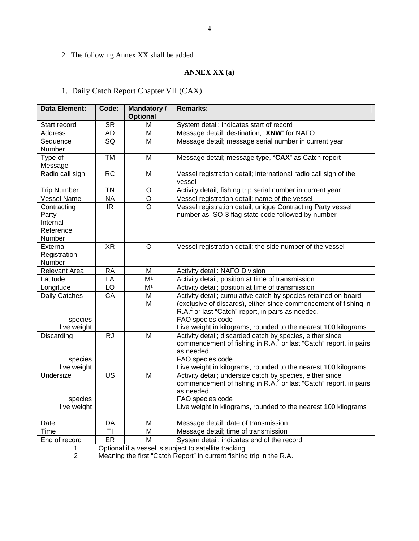2. The following Annex XX shall be added

### **ANNEX XX (a)**

# 1. Daily Catch Report Chapter VII (CAX)

| <b>Data Element:</b>                                    | Code:           | <b>Mandatory/</b><br><b>Optional</b> | <b>Remarks:</b>                                                                                                                                                                                                                                                                           |  |  |
|---------------------------------------------------------|-----------------|--------------------------------------|-------------------------------------------------------------------------------------------------------------------------------------------------------------------------------------------------------------------------------------------------------------------------------------------|--|--|
| Start record                                            | <b>SR</b>       | м                                    | System detail; indicates start of record                                                                                                                                                                                                                                                  |  |  |
| <b>Address</b>                                          | AD              | M                                    | Message detail; destination, "XNW" for NAFO                                                                                                                                                                                                                                               |  |  |
| Sequence<br>Number                                      | SQ              | M                                    | Message detail; message serial number in current year                                                                                                                                                                                                                                     |  |  |
| Type of<br>Message                                      | <b>TM</b>       | M                                    | Message detail; message type, "CAX" as Catch report                                                                                                                                                                                                                                       |  |  |
| Radio call sign                                         | $\overline{RC}$ | M                                    | Vessel registration detail; international radio call sign of the<br>vessel                                                                                                                                                                                                                |  |  |
| <b>Trip Number</b>                                      | <b>TN</b>       | $\circ$                              | Activity detail; fishing trip serial number in current year                                                                                                                                                                                                                               |  |  |
| <b>Vessel Name</b>                                      | <b>NA</b>       | O                                    | Vessel registration detail; name of the vessel                                                                                                                                                                                                                                            |  |  |
| Contracting<br>Party<br>Internal<br>Reference<br>Number | IR.             | $\circ$                              | Vessel registration detail; unique Contracting Party vessel<br>number as ISO-3 flag state code followed by number                                                                                                                                                                         |  |  |
| External<br>Registration<br>Number                      | $X\overline{R}$ | $\circ$                              | Vessel registration detail; the side number of the vessel                                                                                                                                                                                                                                 |  |  |
| <b>Relevant Area</b>                                    | <b>RA</b>       | M                                    | Activity detail: NAFO Division                                                                                                                                                                                                                                                            |  |  |
| Latitude                                                | LA              | M <sup>1</sup>                       | Activity detail; position at time of transmission                                                                                                                                                                                                                                         |  |  |
| Longitude                                               | LO              | M <sup>1</sup>                       | Activity detail; position at time of transmission                                                                                                                                                                                                                                         |  |  |
| Daily Catches<br>species<br>live weight                 | CA              | M<br>М                               | Activity detail; cumulative catch by species retained on board<br>(exclusive of discards), either since commencement of fishing in<br>R.A. <sup>2</sup> or last "Catch" report, in pairs as needed.<br>FAO species code<br>Live weight in kilograms, rounded to the nearest 100 kilograms |  |  |
| Discarding<br>species<br>live weight                    | <b>RJ</b>       | M                                    | Activity detail; discarded catch by species, either since<br>commencement of fishing in R.A. <sup>2</sup> or last "Catch" report, in pairs<br>as needed.<br>FAO species code<br>Live weight in kilograms, rounded to the nearest 100 kilograms                                            |  |  |
| Undersize<br>species<br>live weight                     | <b>US</b>       | M                                    | Activity detail; undersize catch by species, either since<br>commencement of fishing in R.A. <sup>2</sup> or last "Catch" report, in pairs<br>as needed.<br>FAO species code<br>Live weight in kilograms, rounded to the nearest 100 kilograms                                            |  |  |
| Date                                                    | DA              | M                                    | Message detail; date of transmission                                                                                                                                                                                                                                                      |  |  |
| Time                                                    | TI              | M                                    | Message detail; time of transmission                                                                                                                                                                                                                                                      |  |  |
| End of record                                           | ER              | M                                    | System detail; indicates end of the record                                                                                                                                                                                                                                                |  |  |

1 Optional if a vessel is subject to satellite tracking<br>2 Meaning the first "Catch Report" in current fishing

2 Meaning the first "Catch Report" in current fishing trip in the R.A.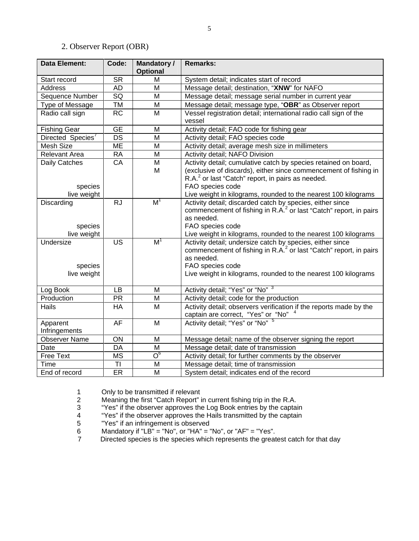### 2. Observer Report (OBR)

| <b>Data Element:</b>                | Code:           | <b>Mandatory /</b><br><b>Optional</b> | <b>Remarks:</b>                                                                                                                                                                                                                                |  |  |
|-------------------------------------|-----------------|---------------------------------------|------------------------------------------------------------------------------------------------------------------------------------------------------------------------------------------------------------------------------------------------|--|--|
| Start record                        | <b>SR</b>       | M                                     | System detail; indicates start of record                                                                                                                                                                                                       |  |  |
| <b>Address</b>                      | <b>AD</b>       | M                                     | Message detail; destination, "XNW" for NAFO                                                                                                                                                                                                    |  |  |
| Sequence Number                     | $\overline{SQ}$ | $\overline{\mathsf{M}}$               | Message detail; message serial number in current year                                                                                                                                                                                          |  |  |
| Type of Message                     | <b>TM</b>       | M                                     | Message detail; message type, "OBR" as Observer report                                                                                                                                                                                         |  |  |
| Radio call sign                     | <b>RC</b>       | M                                     | Vessel registration detail; international radio call sign of the<br>vessel                                                                                                                                                                     |  |  |
| <b>Fishing Gear</b>                 | <b>GE</b>       | M                                     | Activity detail; FAO code for fishing gear                                                                                                                                                                                                     |  |  |
| Directed Species <sup>7</sup>       | <b>DS</b>       | M                                     | Activity detail; FAO species code                                                                                                                                                                                                              |  |  |
| Mesh Size                           | <b>ME</b>       | M                                     | Activity detail; average mesh size in millimeters                                                                                                                                                                                              |  |  |
| <b>Relevant Area</b>                | <b>RA</b>       | M                                     | Activity detail; NAFO Division                                                                                                                                                                                                                 |  |  |
| Daily Catches<br>species            | CA              | M<br>M                                | Activity detail; cumulative catch by species retained on board,<br>(exclusive of discards), either since commencement of fishing in<br>R.A. <sup>2</sup> or last "Catch" report, in pairs as needed.<br>FAO species code                       |  |  |
| live weight                         |                 |                                       | Live weight in kilograms, rounded to the nearest 100 kilograms                                                                                                                                                                                 |  |  |
| Discarding<br>species               | $\overline{RJ}$ | M <sup>1</sup>                        | Activity detail; discarded catch by species, either since<br>commencement of fishing in R.A. <sup>2</sup> or last "Catch" report, in pairs<br>as needed.<br>FAO species code                                                                   |  |  |
| live weight                         |                 |                                       | Live weight in kilograms, rounded to the nearest 100 kilograms                                                                                                                                                                                 |  |  |
| Undersize<br>species<br>live weight | <b>US</b>       | M <sup>1</sup>                        | Activity detail; undersize catch by species, either since<br>commencement of fishing in R.A. <sup>2</sup> or last "Catch" report, in pairs<br>as needed.<br>FAO species code<br>Live weight in kilograms, rounded to the nearest 100 kilograms |  |  |
| Log Book                            | LB              | M                                     | Activity detail; "Yes" or "No" 3                                                                                                                                                                                                               |  |  |
| Production                          | <b>PR</b>       | M                                     | Activity detail; code for the production                                                                                                                                                                                                       |  |  |
| Hails                               | HA              | M                                     | Activity detail; observers verification if the reports made by the<br>captain are correct, "Yes" or "No"                                                                                                                                       |  |  |
| Apparent<br>Infringements           | AF              | M                                     | Activity detail; "Yes" or "No" 5                                                                                                                                                                                                               |  |  |
| <b>Observer Name</b>                | ON              | M                                     | Message detail; name of the observer signing the report                                                                                                                                                                                        |  |  |
| Date                                | DA              | M                                     | Message detail; date of transmission                                                                                                                                                                                                           |  |  |
| Free Text                           | <b>MS</b>       | $\overline{\mathrm{O}}_\mathrm{e}$    | Activity detail; for further comments by the observer                                                                                                                                                                                          |  |  |
| Time                                | TI              | M                                     | Message detail; time of transmission                                                                                                                                                                                                           |  |  |
| End of record                       | ER              | M                                     | System detail; indicates end of the record                                                                                                                                                                                                     |  |  |

1 Only to be transmitted if relevant<br>2 Meaning the first "Catch Report" i<br>3 "Yes" if the observer approves the 2 Meaning the first "Catch Report" in current fishing trip in the R.A.

3 "Yes" if the observer approves the Log Book entries by the captain

- 4 "Yes" if the observer approves the Hails transmitted by the captain<br>5 "Yes" if an infringement is observed<br>6 Mandatory if "LB" = "No", or "HA" = "No", or "AF" = "Yes".
- "Yes" if an infringement is observed
- 6 Mandatory if "LB" = "No", or "HA" = "No", or "AF" = "Yes".<br>7 Directed species is the species which represents the great
- Directed species is the species which represents the greatest catch for that day